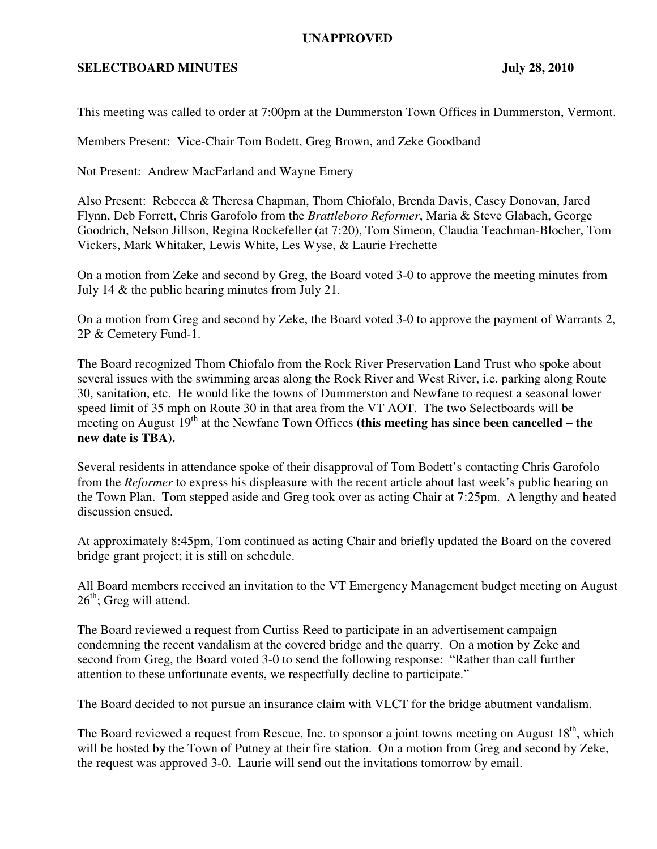## **UNAPPROVED**

## **SELECTBOARD MINUTES** July 28, 2010

This meeting was called to order at 7:00pm at the Dummerston Town Offices in Dummerston, Vermont.

Members Present: Vice-Chair Tom Bodett, Greg Brown, and Zeke Goodband

Not Present: Andrew MacFarland and Wayne Emery

Also Present: Rebecca & Theresa Chapman, Thom Chiofalo, Brenda Davis, Casey Donovan, Jared Flynn, Deb Forrett, Chris Garofolo from the *Brattleboro Reformer*, Maria & Steve Glabach, George Goodrich, Nelson Jillson, Regina Rockefeller (at 7:20), Tom Simeon, Claudia Teachman-Blocher, Tom Vickers, Mark Whitaker, Lewis White, Les Wyse, & Laurie Frechette

On a motion from Zeke and second by Greg, the Board voted 3-0 to approve the meeting minutes from July 14 & the public hearing minutes from July 21.

On a motion from Greg and second by Zeke, the Board voted 3-0 to approve the payment of Warrants 2, 2P & Cemetery Fund-1.

The Board recognized Thom Chiofalo from the Rock River Preservation Land Trust who spoke about several issues with the swimming areas along the Rock River and West River, i.e. parking along Route 30, sanitation, etc. He would like the towns of Dummerston and Newfane to request a seasonal lower speed limit of 35 mph on Route 30 in that area from the VT AOT. The two Selectboards will be meeting on August  $19<sup>th</sup>$  at the Newfane Town Offices (this meeting has since been cancelled – the **new date is TBA).**

Several residents in attendance spoke of their disapproval of Tom Bodett's contacting Chris Garofolo from the *Reformer* to express his displeasure with the recent article about last week's public hearing on the Town Plan. Tom stepped aside and Greg took over as acting Chair at 7:25pm. A lengthy and heated discussion ensued.

At approximately 8:45pm, Tom continued as acting Chair and briefly updated the Board on the covered bridge grant project; it is still on schedule.

All Board members received an invitation to the VT Emergency Management budget meeting on August  $26<sup>th</sup>$ ; Greg will attend.

The Board reviewed a request from Curtiss Reed to participate in an advertisement campaign condemning the recent vandalism at the covered bridge and the quarry. On a motion by Zeke and second from Greg, the Board voted 3-0 to send the following response: "Rather than call further attention to these unfortunate events, we respectfully decline to participate."

The Board decided to not pursue an insurance claim with VLCT for the bridge abutment vandalism.

The Board reviewed a request from Rescue, Inc. to sponsor a joint towns meeting on August 18<sup>th</sup>, which will be hosted by the Town of Putney at their fire station. On a motion from Greg and second by Zeke, the request was approved 3-0. Laurie will send out the invitations tomorrow by email.